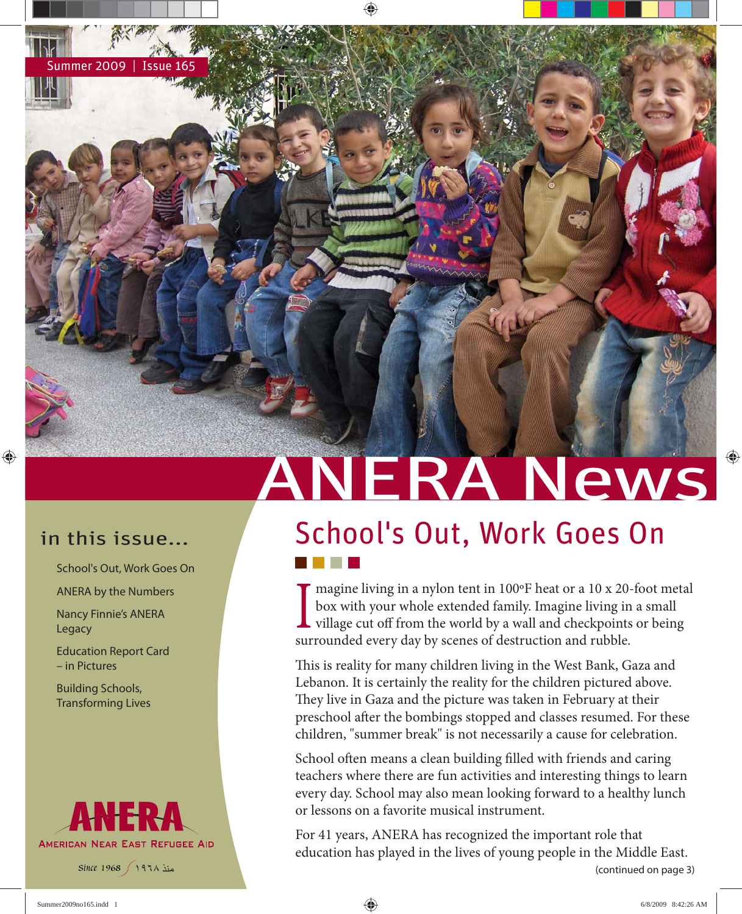♠

School's Out, Work Goes On

ANERA by the Numbers

Nancy Finnie's ANERA Legacy

Education Report Card – in Pictures

Building Schools, Transforming Lives



منذ ١٩٦٨ *1968 Since*

# ANERA News

## in this issue... School's Out, Work Goes On

I haghle hving in a hylon tent in 100 T heat of a 10 x 20-<br>box with your whole extended family. Imagine living in<br>village cut off from the world by a wall and checkpoints<br>surrounded every day by scenes of destruction and r magine living in a nylon tent in 100ºF heat or a 10 x 20-foot metal box with your whole extended family. Imagine living in a small village cut off from the world by a wall and checkpoints or being

This is reality for many children living in the West Bank, Gaza and Lebanon. It is certainly the reality for the children pictured above. They live in Gaza and the picture was taken in February at their preschool after the bombings stopped and classes resumed. For these children, "summer break" is not necessarily a cause for celebration.

School often means a clean building filled with friends and caring teachers where there are fun activities and interesting things to learn every day. School may also mean looking forward to a healthy lunch or lessons on a favorite musical instrument.

(continued on page 3) For 41 years, ANERA has recognized the important role that education has played in the lives of young people in the Middle East.

 $\bigoplus$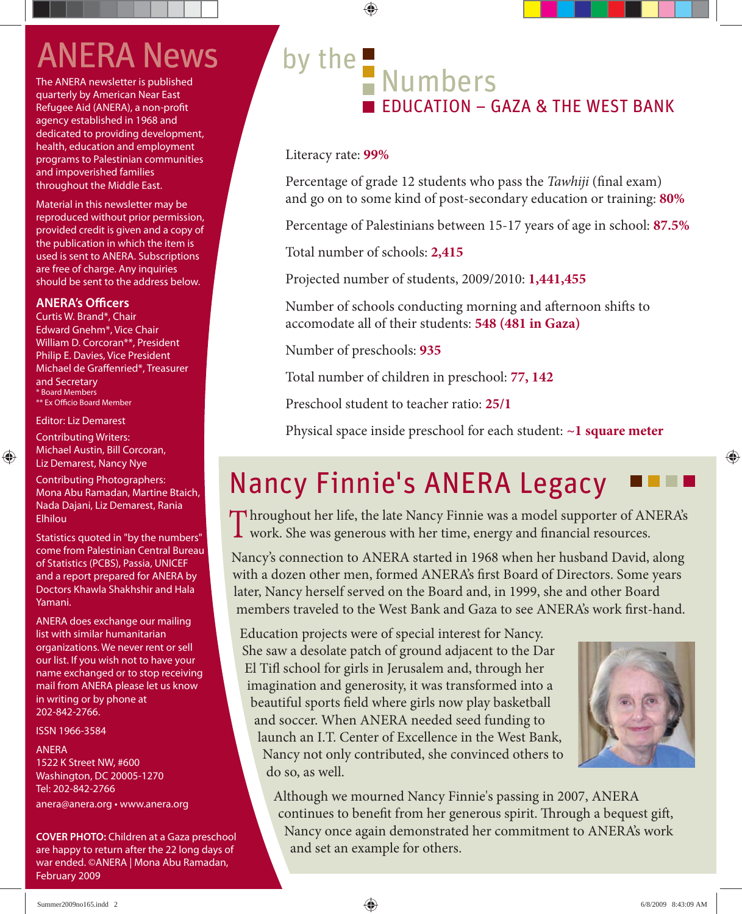## **ANERA News**

The ANERA newsletter is published quarterly by American Near East Refugee Aid (ANERA), a non-profit agency established in 1968 and dedicated to providing development, health, education and employment programs to Palestinian communities and impoverished families throughout the Middle East.

Material in this newsletter may be reproduced without prior permission, provided credit is given and a copy of the publication in which the item is used is sent to ANERA. Subscriptions are free of charge. Any inquiries should be sent to the address below.

### **ANERA's Officers**

Curtis W. Brand\*, Chair Edward Gnehm\*, Vice Chair William D. Corcoran\*\*, President Philip E. Davies, Vice President Michael de Graffenried\*, Treasurer and Secretary \* Board Members \*\* Ex Officio Board Member

### Editor: Liz Demarest

⊕

Contributing Writers: Michael Austin, Bill Corcoran, Liz Demarest, Nancy Nye

Contributing Photographers: Mona Abu Ramadan, Martine Btaich, Nada Dajani, Liz Demarest, Rania Elhilou

Statistics quoted in "by the numbers" come from Palestinian Central Bureau of Statistics (PCBS), Passia, UNICEF and a report prepared for ANERA by Doctors Khawla Shakhshir and Hala Yamani.

ANERA does exchange our mailing list with similar humanitarian organizations. We never rent or sell our list. If you wish not to have your name exchanged or to stop receiving mail from ANERA please let us know in writing or by phone at 202-842-2766.

ISSN 1966-3584

### ANERA

1522 K Street NW, #600 Washington, DC 20005-1270 Tel: 202-842-2766 anera@anera.org • www.anera.org

**COVER PHOTO:** Children at a Gaza preschool are happy to return after the 22 long days of war ended. ©ANERA | Mona Abu Ramadan, February 2009

## by the Numbers  $\blacksquare$  FDUCATION – GAZA & THE WEST BANK

Literacy rate: **99%**

Percentage of grade 12 students who pass the *Tawhiji* (final exam) and go on to some kind of post-secondary education or training: **80%**

Percentage of Palestinians between 15-17 years of age in school: **87.5%**

Total number of schools: **2,415**

⊕

Projected number of students, 2009/2010: **1,441,455**

Number of schools conducting morning and afternoon shifts to accomodate all of their students: **548 (481 in Gaza)**

Number of preschools: **935**

Total number of children in preschool: **77, 142**

Preschool student to teacher ratio: **25/1**

Physical space inside preschool for each student: **~1 square meter**

### Nancy Finnie's ANERA Legacy

Throughout her life, the late Nancy Finnie was a model supporter of ANERA's work. She was generous with her time, energy and financial resources.

Nancy's connection to ANERA started in 1968 when her husband David, along with a dozen other men, formed ANERA's first Board of Directors. Some years later, Nancy herself served on the Board and, in 1999, she and other Board members traveled to the West Bank and Gaza to see ANERA's work first-hand.

Education projects were of special interest for Nancy. She saw a desolate patch of ground adjacent to the Dar El Tifl school for girls in Jerusalem and, through her imagination and generosity, it was transformed into a beautiful sports field where girls now play basketball and soccer. When ANERA needed seed funding to launch an I.T. Center of Excellence in the West Bank, Nancy not only contributed, she convinced others to do so, as well.



♠

Although we mourned Nancy Finnie's passing in 2007, ANERA continues to benefit from her generous spirit. Through a bequest gift, Nancy once again demonstrated her commitment to ANERA's work and set an example for others.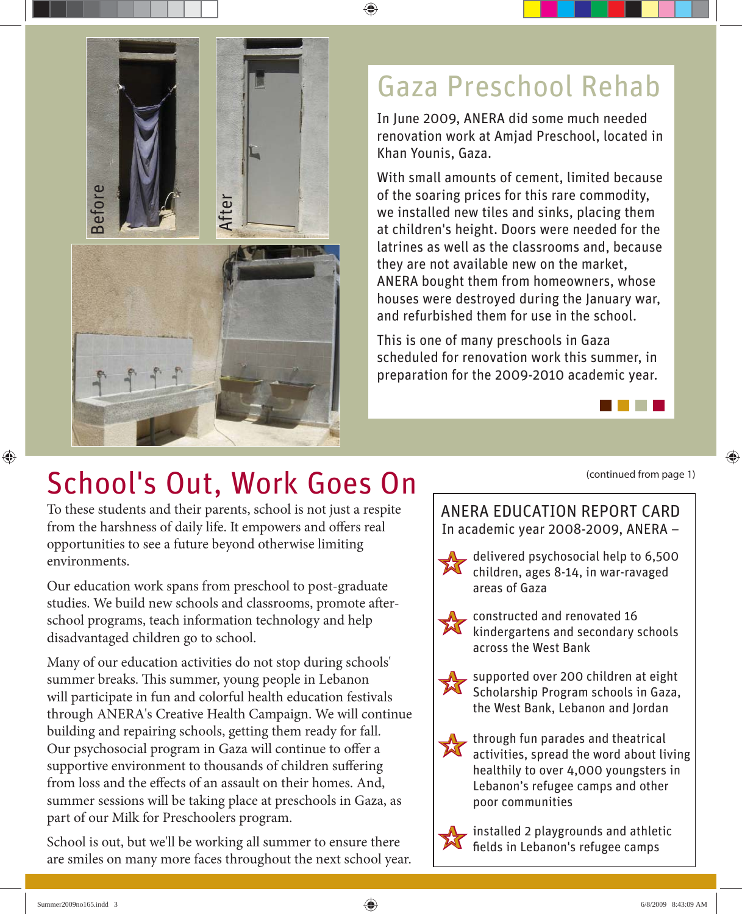

### Gaza Preschool Rehab

♠

In June 2009, ANERA did some much needed renovation work at Amjad Preschool, located in Khan Younis, Gaza.

With small amounts of cement, limited because of the soaring prices for this rare commodity, we installed new tiles and sinks, placing them at children's height. Doors were needed for the latrines as well as the classrooms and, because they are not available new on the market, ANERA bought them from homeowners, whose houses were destroyed during the January war, and refurbished them for use in the school.

This is one of many preschools in Gaza scheduled for renovation work this summer, in preparation for the 2009-2010 academic year.



To these students and their parents, school is not just a respite from the harshness of daily life. It empowers and offers real opportunities to see a future beyond otherwise limiting environments.

Our education work spans from preschool to post-graduate studies. We build new schools and classrooms, promote afterschool programs, teach information technology and help disadvantaged children go to school.

Many of our education activities do not stop during schools' summer breaks. This summer, young people in Lebanon will participate in fun and colorful health education festivals through ANERA's Creative Health Campaign. We will continue building and repairing schools, getting them ready for fall. Our psychosocial program in Gaza will continue to offer a supportive environment to thousands of children suffering from loss and the effects of an assault on their homes. And, summer sessions will be taking place at preschools in Gaza, as part of our Milk for Preschoolers program.

School is out, but we'll be working all summer to ensure there are smiles on many more faces throughout the next school year. (continued from page 1)

♠

ANERA EDUCATION REPORT CARD In academic year 2008-2009, ANERA –

X delivered psychosocial help to 6,500 children, ages 8-14, in war-ravaged areas of Gaza

X constructed and renovated 16 kindergartens and secondary schools across the West Bank



X through fun parades and theatrical activities, spread the word about living healthily to over 4,000 youngsters in Lebanon's refugee camps and other poor communities

installed 2 playgrounds and athletic<br>fields in Lebanon's refugee camps fields in Lebanon's refugee camps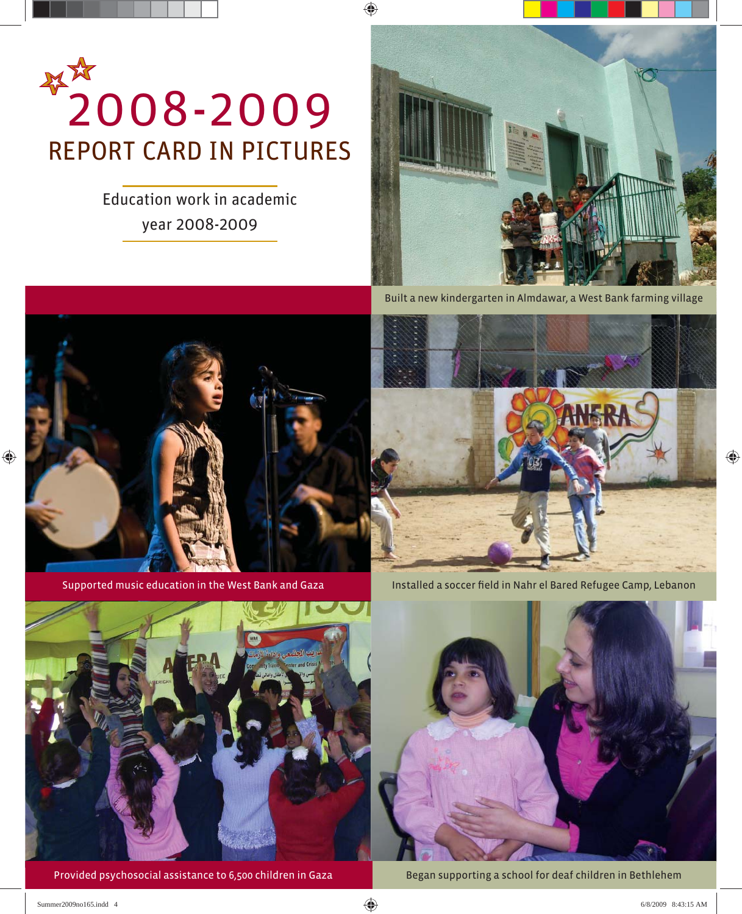

Education work in academic year 2008-2009



Built a new kindergarten in Almdawar, a West Bank farming village



◈

Supported music education in the West Bank and Gaza





Provided psychosocial assistance to 6,500 children in Gaza



Began supporting a school for deaf children in Bethlehem

⊕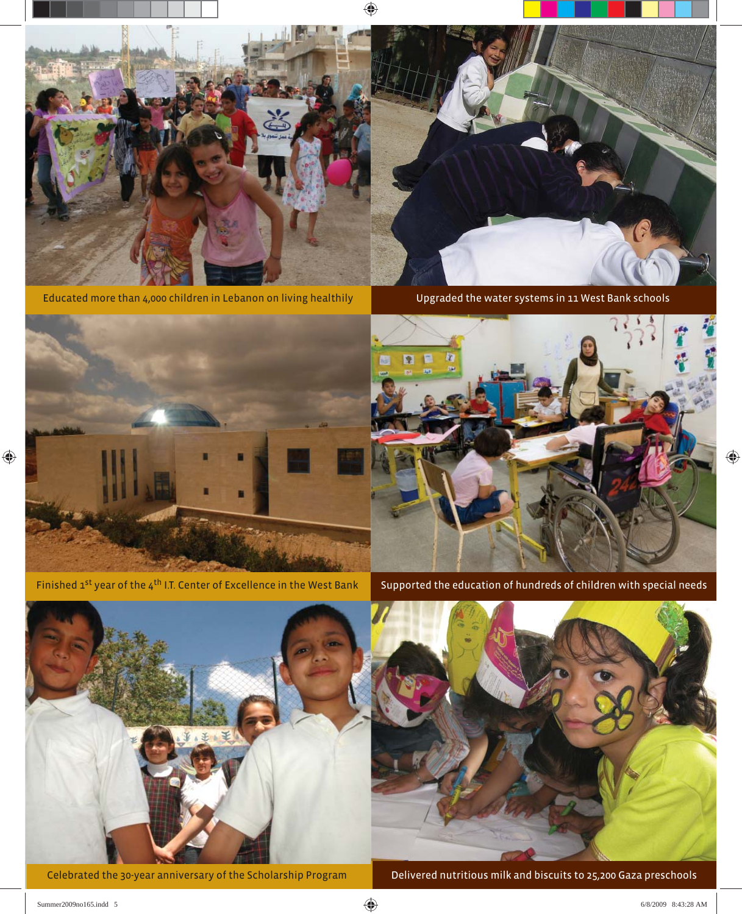

Educated more than 4,000 children in Lebanon on living healthily Upgraded the water systems in 11 West Bank schools





Celebrated the 30-year anniversary of the Scholarship Program Delivered nutritious milk and biscuits to 25,200 Gaza preschools

 $\bigoplus$ 

 $\bigoplus$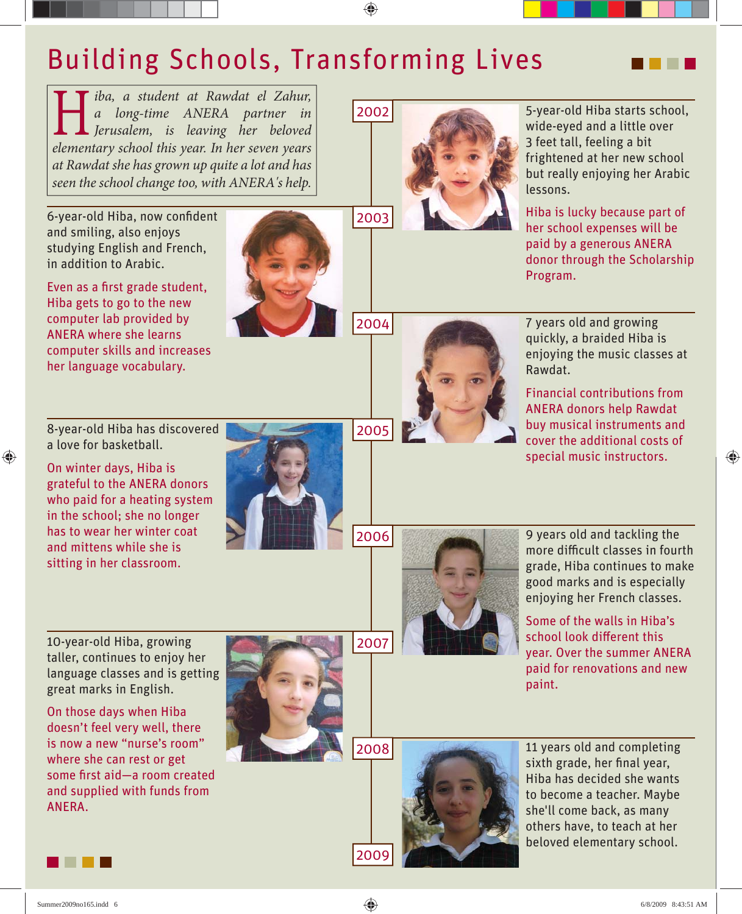### Building Schools, Transforming Lives

**Heiming and a student at Rawdat el Zahur,**<br> **A** *a* **long-time** ANERA partner in<br> **President and a lengua contrary colored**<br> **President and a result in the contrary vector** *a long-time ANERA partner in Jerusalem, is leaving her beloved elementary school this year. In her seven years at Rawdat she has grown up quite a lot and has seen the school change too, with ANERA's help.* 

6-year-old Hiba, now confident and smiling, also enjoys studying English and French, in addition to Arabic.

Even as a first grade student, Hiba gets to go to the new computer lab provided by ANERA where she learns computer skills and increases her language vocabulary.



2004

2005

2006

2007



5-year-old Hiba starts school, wide-eyed and a little over 3 feet tall, feeling a bit frightened at her new school but really enjoying her Arabic lessons.

Hiba is lucky because part of her school expenses will be paid by a generous ANERA donor through the Scholarship Program.

7 years old and growing quickly, a braided Hiba is enjoying the music classes at Rawdat.

Financial contributions from ANERA donors help Rawdat buy musical instruments and cover the additional costs of special music instructors.

⊕

8-year-old Hiba has discovered a love for basketball.

♠

On winter days, Hiba is grateful to the ANERA donors who paid for a heating system in the school; she no longer has to wear her winter coat and mittens while she is sitting in her classroom.





9 years old and tackling the more difficult classes in fourth grade, Hiba continues to make good marks and is especially enjoying her French classes.

Some of the walls in Hiba's school look different this year. Over the summer ANERA paid for renovations and new paint.

10-year-old Hiba, growing taller, continues to enjoy her language classes and is getting great marks in English.

On those days when Hiba doesn't feel very well, there is now a new "nurse's room" where she can rest or get some first aid-a room created and supplied with funds from ANERA.









Summer2009no165.indd 6 ummer2009no165.indd 6/8/2009 8:43:51 AM /8/2009

2009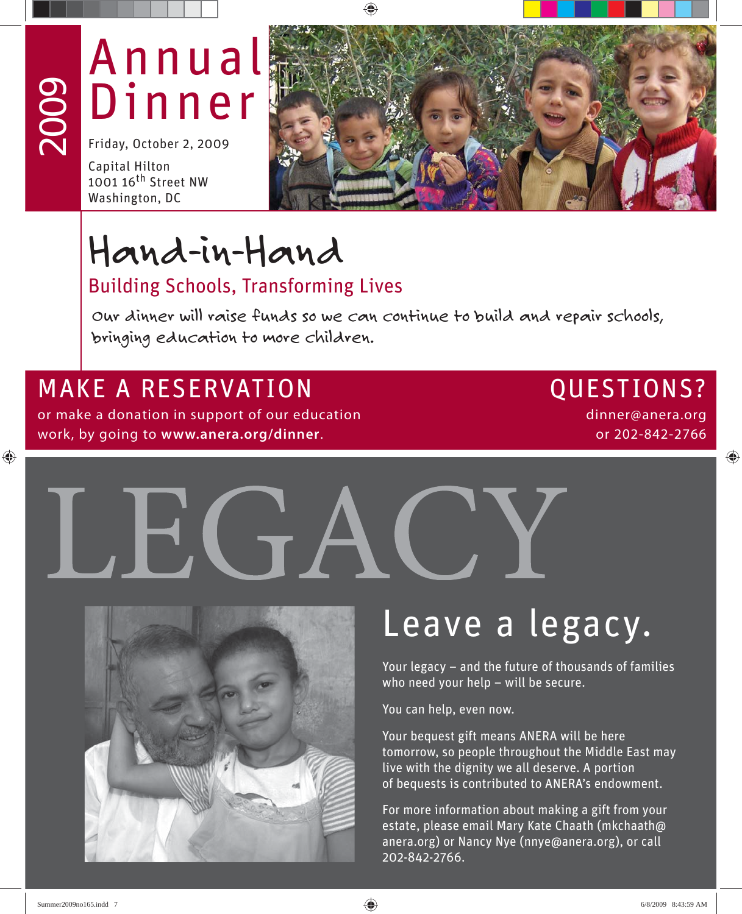## Annual Dinner

Friday, October 2, 2009

Capital Hilton 1001 16<sup>th</sup> Street NW Washington, DC

2009

⊕



## Hand-in-Hand

### Building Schools, Transforming Lives

Our dinner will raise funds so we can continue to build and repair schools, bringing education to more children.

### MAKE A RESERVATION CUESTIONS?

or make a donation in support of our education work, by going to **www.anera.org/dinner**.

dinner@anera.org or 202-842-2766

◈





## Leave a legacy.

Your legacy – and the future of thousands of families who need your help - will be secure.

You can help, even now.

Your bequest gift means ANERA will be here tomorrow, so people throughout the Middle East may live with the dignity we all deserve. A portion of bequests is contributed to ANERA's endowment.

For more information about making a gift from your estate, please email Mary Kate Chaath (mkchaath@ anera.org) or Nancy Nye (nnye@anera.org), or call 202-842-2766.